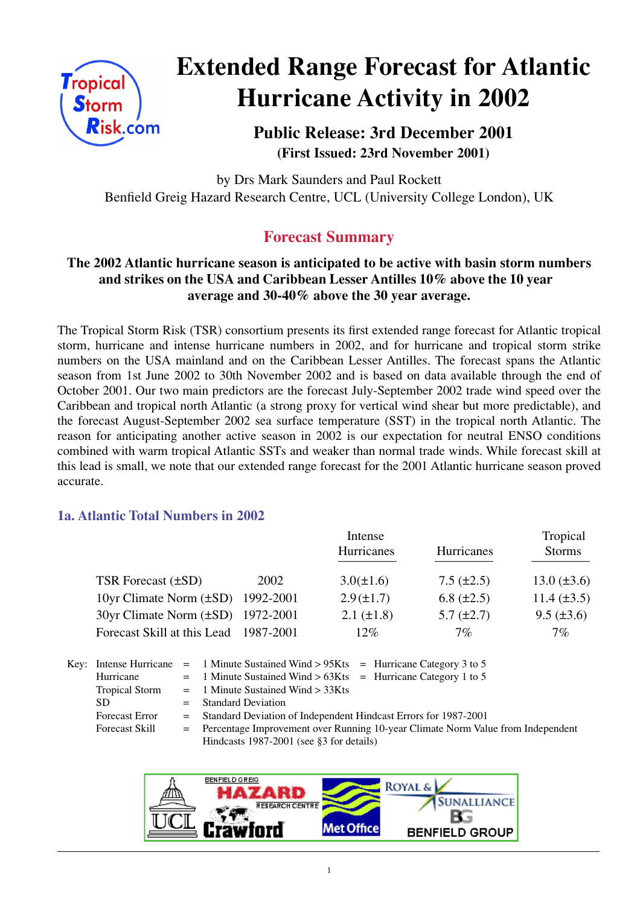

# **Extended Range Forecast for Atlantic Hurricane Activity in 2002**

**Public Release: 3rd December 2001 (First Issued: 23rd November 2001)**

by Drs Mark Saunders and Paul Rockett Benfield Greig Hazard Research Centre, UCL (University College London), UK

# **Forecast Summary**

# **The 2002 Atlantic hurricane season is anticipated to be active with basin storm numbers and strikes on the USA and Caribbean Lesser Antilles 10% above the 10 year average and 30-40% above the 30 year average.**

The Tropical Storm Risk (TSR) consortium presents its first extended range forecast for Atlantic tropical storm, hurricane and intense hurricane numbers in 2002, and for hurricane and tropical storm strike numbers on the USA mainland and on the Caribbean Lesser Antilles. The forecast spans the Atlantic season from 1st June 2002 to 30th November 2002 and is based on data available through the end of October 2001. Our two main predictors are the forecast July-September 2002 trade wind speed over the Caribbean and tropical north Atlantic (a strong proxy for vertical wind shear but more predictable), and the forecast August-September 2002 sea surface temperature (SST) in the tropical north Atlantic. The reason for anticipating another active season in 2002 is our expectation for neutral ENSO conditions combined with warm tropical Atlantic SSTs and weaker than normal trade winds. While forecast skill at this lead is small, we note that our extended range forecast for the 2001 Atlantic hurricane season proved accurate.

# **1a. Atlantic Total Numbers in 2002**

|                                        |      | Intense         | Tropical          |                    |
|----------------------------------------|------|-----------------|-------------------|--------------------|
|                                        |      | Hurricanes      | Hurricanes        | <b>Storms</b>      |
| TSR Forecast (±SD)                     | 2002 | $3.0(\pm 1.6)$  | $7.5 \ (\pm 2.5)$ | $13.0 (\pm 3.6)$   |
| 10yr Climate Norm $(\pm SD)$ 1992-2001 |      | $2.9(\pm 1.7)$  | 6.8 $(\pm 2.5)$   | $11.4 \ (\pm 3.5)$ |
| 30yr Climate Norm (±SD) 1972-2001      |      | $2.1 (\pm 1.8)$ | $5.7 (\pm 2.7)$   | $9.5 (\pm 3.6)$    |
| Forecast Skill at this Lead 1987-2001  |      | $12\%$          | $7\%$             | $7\%$              |

Key: Intense Hurricane = 1 Minute Sustained Wind  $> 95K$ ts = Hurricane Category 3 to 5 Hurricane  $= 1$  Minute Sustained Wind  $> 63K$ ts = Hurricane Category 1 to 5 Tropical Storm  $= 1$  Minute Sustained Wind  $> 33K$ ts SD = Standard Deviation Forecast Error = Standard Deviation of Independent Hindcast Errors for 1987-2001 Forecast Skill = Percentage Improvement over Running 10-year Climate Norm Value from Independent Hindcasts 1987-2001 (see §3 for details)

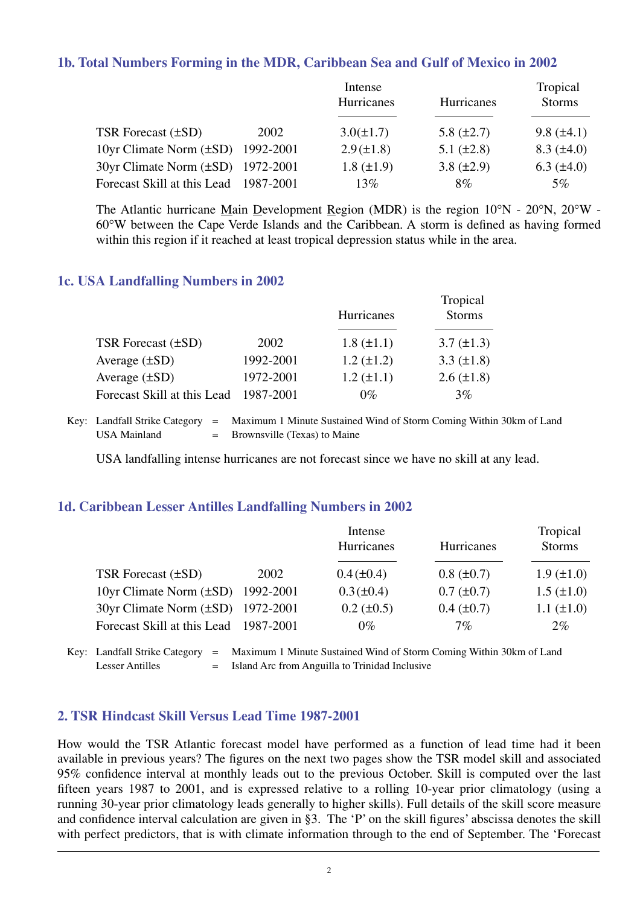#### **1b. Total Numbers Forming in the MDR, Caribbean Sea and Gulf of Mexico in 2002**

|                                          |      | Intense         |                   | Tropical          |  |
|------------------------------------------|------|-----------------|-------------------|-------------------|--|
|                                          |      | Hurricanes      | <b>Hurricanes</b> | <b>Storms</b>     |  |
|                                          |      |                 |                   |                   |  |
| TSR Forecast $(\pm SD)$                  | 2002 | $3.0(\pm 1.7)$  | 5.8 $(\pm 2.7)$   | $9.8 (\pm 4.1)$   |  |
| 10yr Climate Norm $(\pm SD)$ 1992-2001   |      | $2.9(\pm 1.8)$  | $5.1 (\pm 2.8)$   | $8.3 \ (\pm 4.0)$ |  |
| $30yr$ Climate Norm $(\pm SD)$ 1972-2001 |      | $1.8 (\pm 1.9)$ | 3.8 $(\pm 2.9)$   | $6.3 \ (\pm 4.0)$ |  |
| Forecast Skill at this Lead 1987-2001    |      | 13%             | 8%                | $5\%$             |  |

The Atlantic hurricane Main Development Region (MDR) is the region 10°N - 20°N, 20°W - 60°W between the Cape Verde Islands and the Caribbean. A storm is defined as having formed within this region if it reached at least tropical depression status while in the area.

#### **1c. USA Landfalling Numbers in 2002**

|                             |           | Tropical<br><b>Storms</b><br>Hurricanes |                   |  |
|-----------------------------|-----------|-----------------------------------------|-------------------|--|
|                             |           |                                         |                   |  |
| TSR Forecast $(\pm SD)$     | 2002      | $1.8 (\pm 1.1)$                         | $3.7 (\pm 1.3)$   |  |
| Average $(\pm SD)$          | 1992-2001 | $1.2 (\pm 1.2)$                         | 3.3 $(\pm 1.8)$   |  |
| Average $(\pm SD)$          | 1972-2001 | $1.2 (\pm 1.1)$                         | $2.6 \ (\pm 1.8)$ |  |
| Forecast Skill at this Lead | 1987-2001 | $0\%$                                   | 3%                |  |

Key: Landfall Strike Category = Maximum 1 Minute Sustained Wind of Storm Coming Within 30km of Land USA Mainland  $=$  Brownsville (Texas) to Maine

USA landfalling intense hurricanes are not forecast since we have no skill at any lead.

#### **1d. Caribbean Lesser Antilles Landfalling Numbers in 2002**

|                                          |      | Intense<br>Hurricanes | Hurricanes      | Tropical<br><b>Storms</b> |
|------------------------------------------|------|-----------------------|-----------------|---------------------------|
| TSR Forecast (±SD)                       | 2002 | $0.4(\pm 0.4)$        | $0.8 (\pm 0.7)$ | $1.9 \ (\pm 1.0)$         |
| 10yr Climate Norm $(\pm SD)$ 1992-2001   |      | $0.3(\pm 0.4)$        | $0.7 (\pm 0.7)$ | $1.5 (\pm 1.0)$           |
| $30yr$ Climate Norm $(\pm SD)$ 1972-2001 |      | $0.2 \ (\pm 0.5)$     | $0.4~(\pm 0.7)$ | $1.1 (\pm 1.0)$           |
| Forecast Skill at this Lead 1987-2001    |      | $0\%$                 | 7%              | $2\%$                     |

Key: Landfall Strike Category = Maximum 1 Minute Sustained Wind of Storm Coming Within 30km of Land Lesser Antilles = Island Arc from Anguilla to Trinidad Inclusive

#### **2. TSR Hindcast Skill Versus Lead Time 1987-2001**

How would the TSR Atlantic forecast model have performed as a function of lead time had it been available in previous years? The figures on the next two pages show the TSR model skill and associated 95% confidence interval at monthly leads out to the previous October. Skill is computed over the last fifteen years 1987 to 2001, and is expressed relative to a rolling 10-year prior climatology (using a running 30-year prior climatology leads generally to higher skills). Full details of the skill score measure and confidence interval calculation are given in §3. The 'P' on the skill figures' abscissa denotes the skill with perfect predictors, that is with climate information through to the end of September. The 'Forecast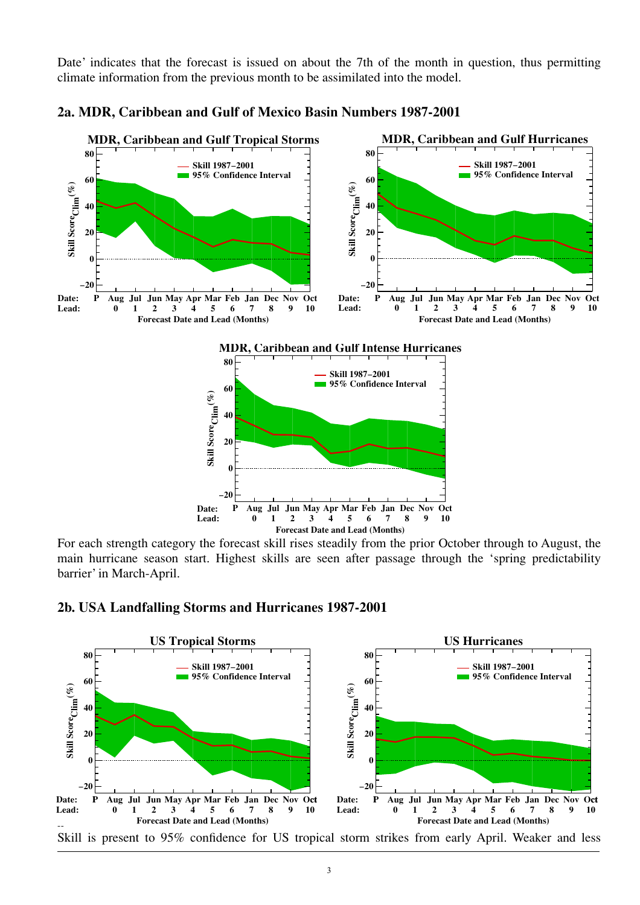Date' indicates that the forecast is issued on about the 7th of the month in question, thus permitting climate information from the previous month to be assimilated into the model.



**2a. MDR, Caribbean and Gulf of Mexico Basin Numbers 1987-2001**

For each strength category the forecast skill rises steadily from the prior October through to August, the main hurricane season start. Highest skills are seen after passage through the 'spring predictability barrier' in March-April.



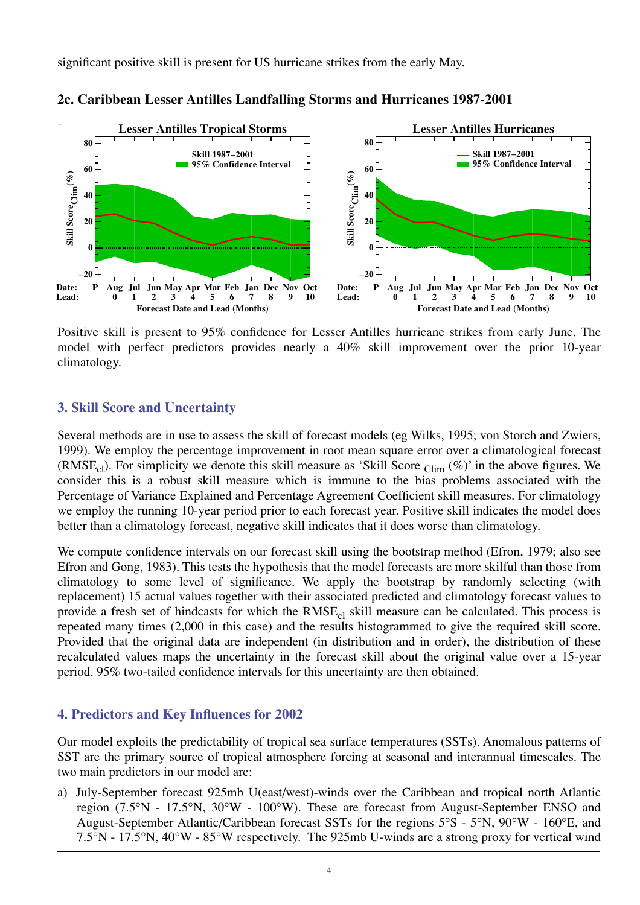significant positive skill is present for US hurricane strikes from the early May.



**2c. Caribbean Lesser Antilles Landfalling Storms and Hurricanes 1987-2001**

Positive skill is present to 95% confidence for Lesser Antilles hurricane strikes from early June. The model with perfect predictors provides nearly a 40% skill improvement over the prior 10-year climatology.

# **3. Skill Score and Uncertainty**

Several methods are in use to assess the skill of forecast models (eg Wilks, 1995; von Storch and Zwiers, 1999). We employ the percentage improvement in root mean square error over a climatological forecast (RMSE<sub>cl</sub>). For simplicity we denote this skill measure as 'Skill Score  $_{\text{Clim}}$  (%)' in the above figures. We consider this is a robust skill measure which is immune to the bias problems associated with the Percentage of Variance Explained and Percentage Agreement Coefficient skill measures. For climatology we employ the running 10-year period prior to each forecast year. Positive skill indicates the model does better than a climatology forecast, negative skill indicates that it does worse than climatology.

We compute confidence intervals on our forecast skill using the bootstrap method (Efron, 1979; also see Efron and Gong, 1983). This tests the hypothesis that the model forecasts are more skilful than those from climatology to some level of significance. We apply the bootstrap by randomly selecting (with replacement) 15 actual values together with their associated predicted and climatology forecast values to provide a fresh set of hindcasts for which the RMSE<sub>cl</sub> skill measure can be calculated. This process is repeated many times (2,000 in this case) and the results histogrammed to give the required skill score. Provided that the original data are independent (in distribution and in order), the distribution of these recalculated values maps the uncertainty in the forecast skill about the original value over a 15-year period. 95% two-tailed confidence intervals for this uncertainty are then obtained.

#### **4. Predictors and Key Influences for 2002**

Our model exploits the predictability of tropical sea surface temperatures (SSTs). Anomalous patterns of SST are the primary source of tropical atmosphere forcing at seasonal and interannual timescales. The two main predictors in our model are:

a) July-September forecast 925mb U(east/west)-winds over the Caribbean and tropical north Atlantic region (7.5°N - 17.5°N, 30°W - 100°W). These are forecast from August-September ENSO and August-September Atlantic/Caribbean forecast SSTs for the regions 5°S - 5°N, 90°W - 160°E, and 7.5°N - 17.5°N, 40°W - 85°W respectively. The 925mb U-winds are a strong proxy for vertical wind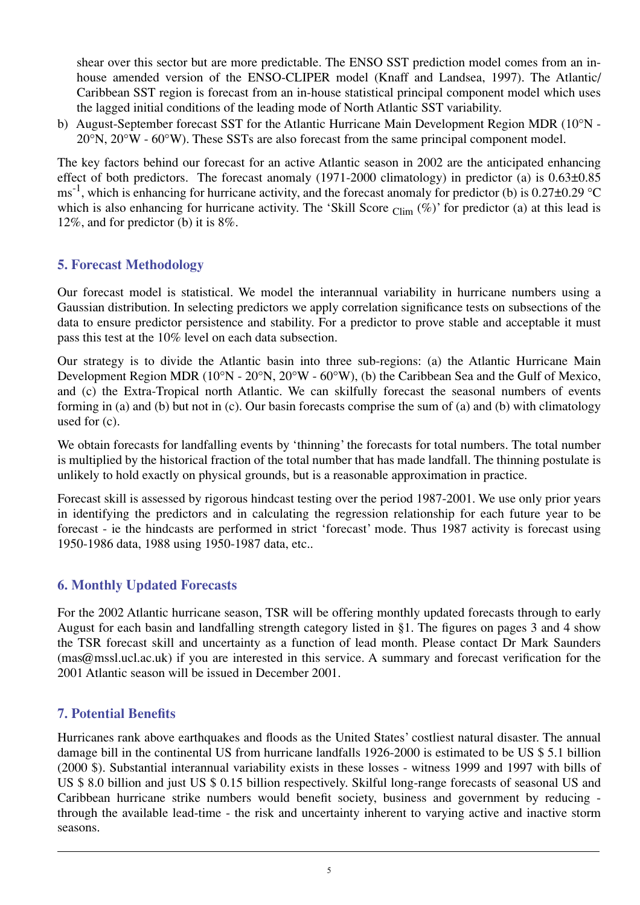shear over this sector but are more predictable. The ENSO SST prediction model comes from an inhouse amended version of the ENSO-CLIPER model (Knaff and Landsea, 1997). The Atlantic/ Caribbean SST region is forecast from an in-house statistical principal component model which uses the lagged initial conditions of the leading mode of North Atlantic SST variability.

b) August-September forecast SST for the Atlantic Hurricane Main Development Region MDR (10°N -  $20^{\circ}$ N,  $20^{\circ}$ W -  $60^{\circ}$ W). These SSTs are also forecast from the same principal component model.

The key factors behind our forecast for an active Atlantic season in 2002 are the anticipated enhancing effect of both predictors. The forecast anomaly (1971-2000 climatology) in predictor (a) is 0.63±0.85 ms<sup>-1</sup>, which is enhancing for hurricane activity, and the forecast anomaly for predictor (b) is 0.27 $\pm$ 0.29 °C which is also enhancing for hurricane activity. The 'Skill Score  $_{Clim}$  (%)' for predictor (a) at this lead is 12%, and for predictor (b) it is 8%.

# **5. Forecast Methodology**

Our forecast model is statistical. We model the interannual variability in hurricane numbers using a Gaussian distribution. In selecting predictors we apply correlation significance tests on subsections of the data to ensure predictor persistence and stability. For a predictor to prove stable and acceptable it must pass this test at the 10% level on each data subsection.

Our strategy is to divide the Atlantic basin into three sub-regions: (a) the Atlantic Hurricane Main Development Region MDR (10°N - 20°N, 20°W - 60°W), (b) the Caribbean Sea and the Gulf of Mexico, and (c) the Extra-Tropical north Atlantic. We can skilfully forecast the seasonal numbers of events forming in (a) and (b) but not in (c). Our basin forecasts comprise the sum of (a) and (b) with climatology used for (c).

We obtain forecasts for landfalling events by 'thinning' the forecasts for total numbers. The total number is multiplied by the historical fraction of the total number that has made landfall. The thinning postulate is unlikely to hold exactly on physical grounds, but is a reasonable approximation in practice.

Forecast skill is assessed by rigorous hindcast testing over the period 1987-2001. We use only prior years in identifying the predictors and in calculating the regression relationship for each future year to be forecast - ie the hindcasts are performed in strict 'forecast' mode. Thus 1987 activity is forecast using 1950-1986 data, 1988 using 1950-1987 data, etc..

# **6. Monthly Updated Forecasts**

For the 2002 Atlantic hurricane season, TSR will be offering monthly updated forecasts through to early August for each basin and landfalling strength category listed in §1. The figures on pages 3 and 4 show the TSR forecast skill and uncertainty as a function of lead month. Please contact Dr Mark Saunders (mas@mssl.ucl.ac.uk) if you are interested in this service. A summary and forecast verification for the 2001 Atlantic season will be issued in December 2001.

# **7. Potential Benefits**

Hurricanes rank above earthquakes and floods as the United States' costliest natural disaster. The annual damage bill in the continental US from hurricane landfalls 1926-2000 is estimated to be US \$ 5.1 billion (2000 \$). Substantial interannual variability exists in these losses - witness 1999 and 1997 with bills of US \$ 8.0 billion and just US \$ 0.15 billion respectively. Skilful long-range forecasts of seasonal US and Caribbean hurricane strike numbers would benefit society, business and government by reducing through the available lead-time - the risk and uncertainty inherent to varying active and inactive storm seasons.